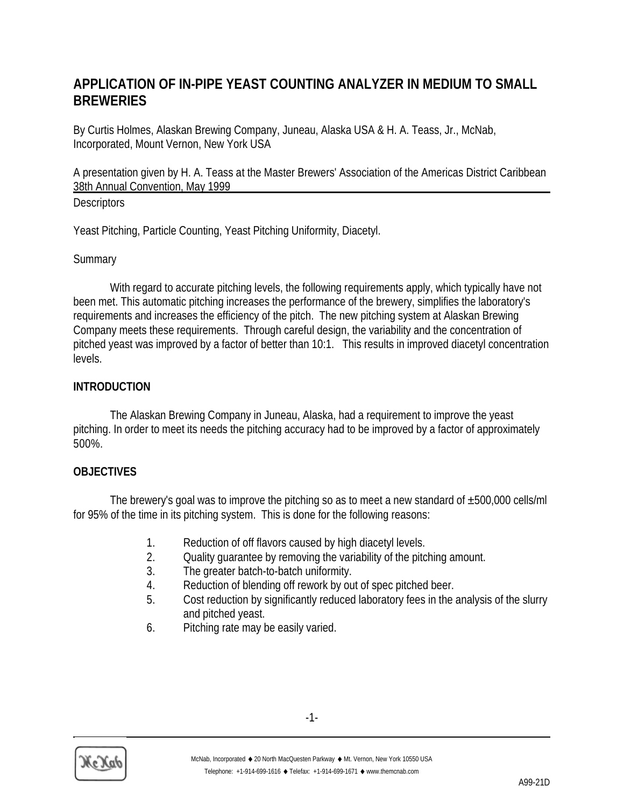# **APPLICATION OF IN-PIPE YEAST COUNTING ANALYZER IN MEDIUM TO SMALL BREWERIES**

By Curtis Holmes, Alaskan Brewing Company, Juneau, Alaska USA & H. A. Teass, Jr., McNab, Incorporated, Mount Vernon, New York USA

A presentation given by H. A. Teass at the Master Brewers' Association of the Americas District Caribbean 38th Annual Convention, May 1999

## **Descriptors**

Yeast Pitching, Particle Counting, Yeast Pitching Uniformity, Diacetyl.

## **Summary**

With regard to accurate pitching levels, the following requirements apply, which typically have not been met. This automatic pitching increases the performance of the brewery, simplifies the laboratory's requirements and increases the efficiency of the pitch. The new pitching system at Alaskan Brewing Company meets these requirements. Through careful design, the variability and the concentration of pitched yeast was improved by a factor of better than 10:1. This results in improved diacetyl concentration levels.

# **INTRODUCTION**

The Alaskan Brewing Company in Juneau, Alaska, had a requirement to improve the yeast pitching. In order to meet its needs the pitching accuracy had to be improved by a factor of approximately 500%.

## **OBJECTIVES**

The brewery's goal was to improve the pitching so as to meet a new standard of  $\pm 500,000$  cells/ml for 95% of the time in its pitching system. This is done for the following reasons:

- 1. Reduction of off flavors caused by high diacetyl levels.
- 2. Quality guarantee by removing the variability of the pitching amount.
- 3. The greater batch-to-batch uniformity.
- 4. Reduction of blending off rework by out of spec pitched beer.
- 5. Cost reduction by significantly reduced laboratory fees in the analysis of the slurry and pitched yeast.
- 6. Pitching rate may be easily varied.

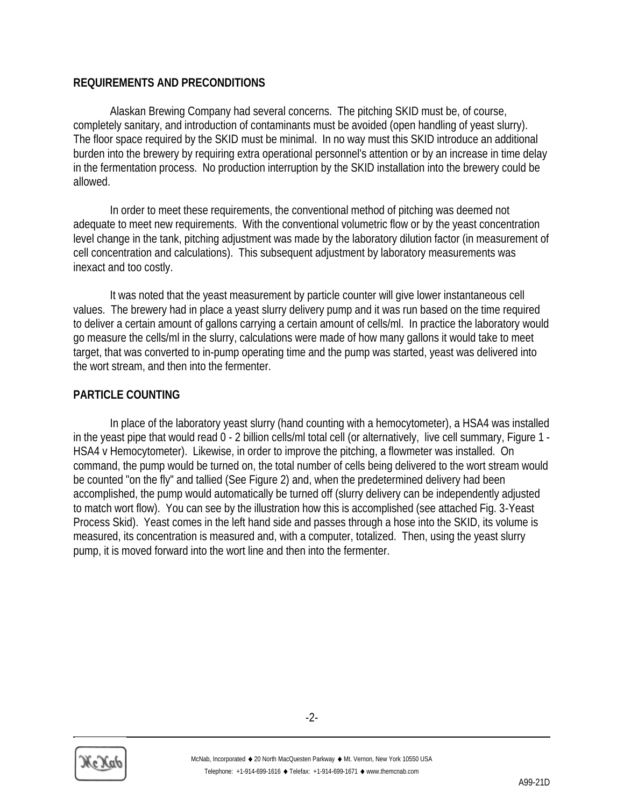### **REQUIREMENTS AND PRECONDITIONS**

Alaskan Brewing Company had several concerns. The pitching SKID must be, of course, completely sanitary, and introduction of contaminants must be avoided (open handling of yeast slurry). The floor space required by the SKID must be minimal. In no way must this SKID introduce an additional burden into the brewery by requiring extra operational personnel's attention or by an increase in time delay in the fermentation process. No production interruption by the SKID installation into the brewery could be allowed.

In order to meet these requirements, the conventional method of pitching was deemed not adequate to meet new requirements. With the conventional volumetric flow or by the yeast concentration level change in the tank, pitching adjustment was made by the laboratory dilution factor (in measurement of cell concentration and calculations). This subsequent adjustment by laboratory measurements was inexact and too costly.

It was noted that the yeast measurement by particle counter will give lower instantaneous cell values. The brewery had in place a yeast slurry delivery pump and it was run based on the time required to deliver a certain amount of gallons carrying a certain amount of cells/ml. In practice the laboratory would go measure the cells/ml in the slurry, calculations were made of how many gallons it would take to meet target, that was converted to in-pump operating time and the pump was started, yeast was delivered into the wort stream, and then into the fermenter.

## **PARTICLE COUNTING**

In place of the laboratory yeast slurry (hand counting with a hemocytometer), a HSA4 was installed in the yeast pipe that would read 0 - 2 billion cells/ml total cell (or alternatively, live cell summary, Figure 1 - HSA4 v Hemocytometer). Likewise, in order to improve the pitching, a flowmeter was installed. On command, the pump would be turned on, the total number of cells being delivered to the wort stream would be counted "on the fly" and tallied (See Figure 2) and, when the predetermined delivery had been accomplished, the pump would automatically be turned off (slurry delivery can be independently adjusted to match wort flow). You can see by the illustration how this is accomplished (see attached Fig. 3-Yeast Process Skid). Yeast comes in the left hand side and passes through a hose into the SKID, its volume is measured, its concentration is measured and, with a computer, totalized. Then, using the yeast slurry pump, it is moved forward into the wort line and then into the fermenter.

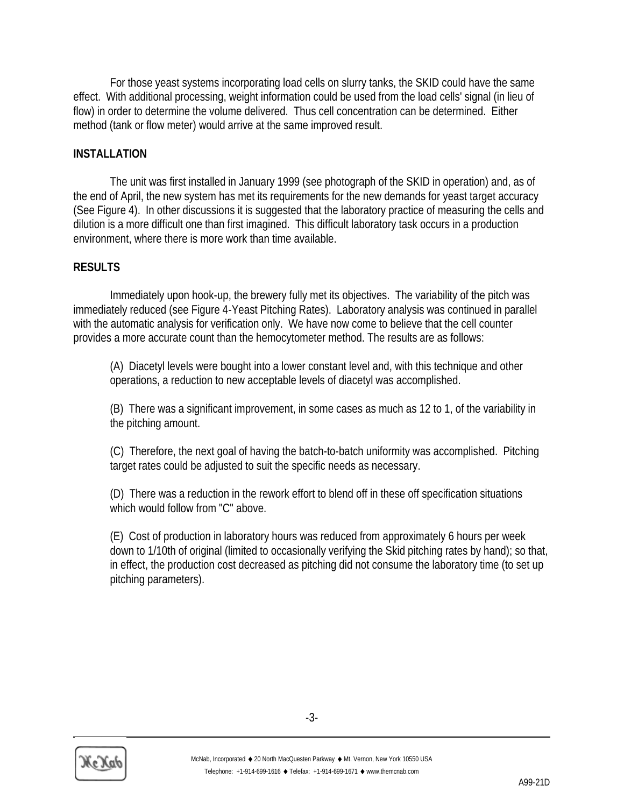For those yeast systems incorporating load cells on slurry tanks, the SKID could have the same effect. With additional processing, weight information could be used from the load cells' signal (in lieu of flow) in order to determine the volume delivered. Thus cell concentration can be determined. Either method (tank or flow meter) would arrive at the same improved result.

### **INSTALLATION**

The unit was first installed in January 1999 (see photograph of the SKID in operation) and, as of the end of April, the new system has met its requirements for the new demands for yeast target accuracy (See Figure 4). In other discussions it is suggested that the laboratory practice of measuring the cells and dilution is a more difficult one than first imagined. This difficult laboratory task occurs in a production environment, where there is more work than time available.

#### **RESULTS**

Immediately upon hook-up, the brewery fully met its objectives. The variability of the pitch was immediately reduced (see Figure 4-Yeast Pitching Rates). Laboratory analysis was continued in parallel with the automatic analysis for verification only. We have now come to believe that the cell counter provides a more accurate count than the hemocytometer method. The results are as follows:

(A) Diacetyl levels were bought into a lower constant level and, with this technique and other operations, a reduction to new acceptable levels of diacetyl was accomplished.

(B) There was a significant improvement, in some cases as much as 12 to 1, of the variability in the pitching amount.

(C) Therefore, the next goal of having the batch-to-batch uniformity was accomplished. Pitching target rates could be adjusted to suit the specific needs as necessary.

(D) There was a reduction in the rework effort to blend off in these off specification situations which would follow from "C" above.

(E) Cost of production in laboratory hours was reduced from approximately 6 hours per week down to 1/10th of original (limited to occasionally verifying the Skid pitching rates by hand); so that, in effect, the production cost decreased as pitching did not consume the laboratory time (to set up pitching parameters).

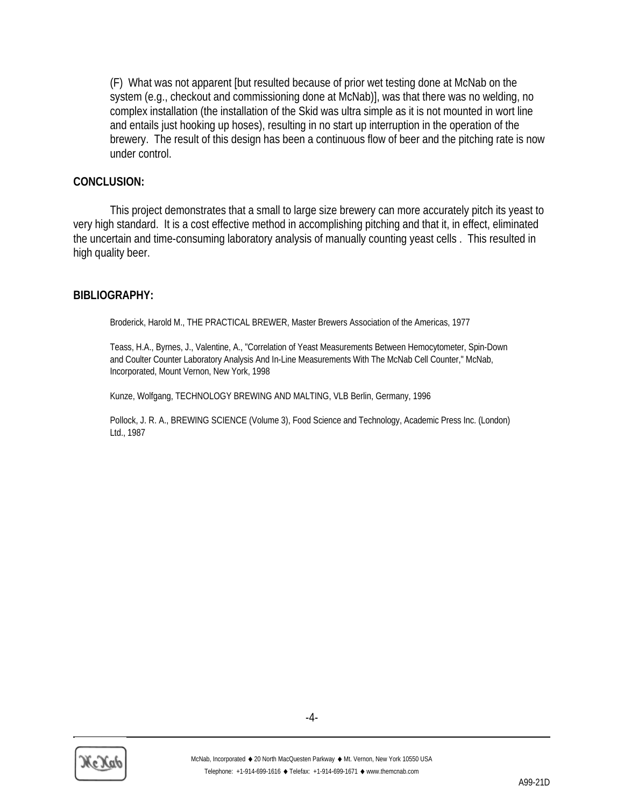(F) What was not apparent [but resulted because of prior wet testing done at McNab on the system (e.g., checkout and commissioning done at McNab)], was that there was no welding, no complex installation (the installation of the Skid was ultra simple as it is not mounted in wort line and entails just hooking up hoses), resulting in no start up interruption in the operation of the brewery. The result of this design has been a continuous flow of beer and the pitching rate is now under control.

#### **CONCLUSION:**

This project demonstrates that a small to large size brewery can more accurately pitch its yeast to very high standard. It is a cost effective method in accomplishing pitching and that it, in effect, eliminated the uncertain and time-consuming laboratory analysis of manually counting yeast cells . This resulted in high quality beer.

#### **BIBLIOGRAPHY:**

Broderick, Harold M., THE PRACTICAL BREWER, Master Brewers Association of the Americas, 1977

Teass, H.A., Byrnes, J., Valentine, A., "Correlation of Yeast Measurements Between Hemocytometer, Spin-Down and Coulter Counter Laboratory Analysis And In-Line Measurements With The McNab Cell Counter," McNab, Incorporated, Mount Vernon, New York, 1998

Kunze, Wolfgang, TECHNOLOGY BREWING AND MALTING, VLB Berlin, Germany, 1996

Pollock, J. R. A., BREWING SCIENCE (Volume 3), Food Science and Technology, Academic Press Inc. (London) Ltd., 1987

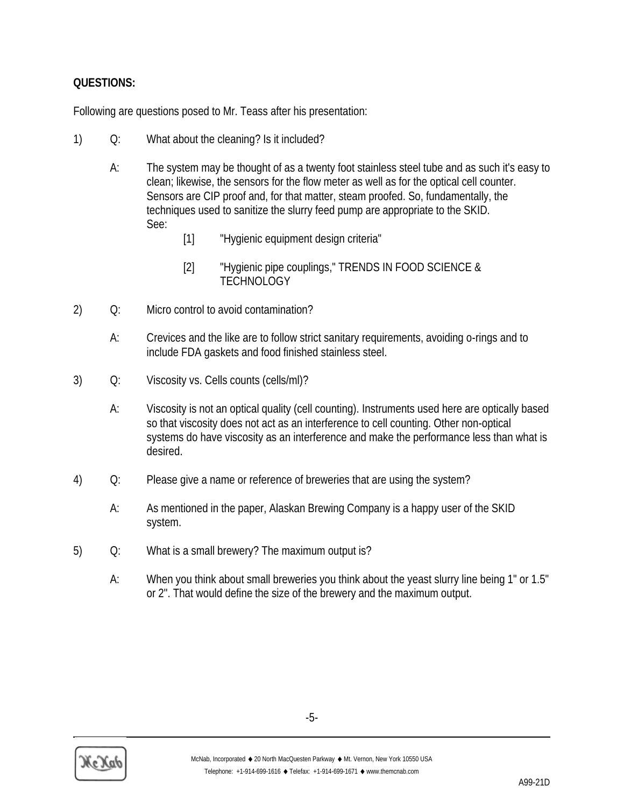# **QUESTIONS:**

Following are questions posed to Mr. Teass after his presentation:

- 1) Q: What about the cleaning? Is it included?
	- A: The system may be thought of as a twenty foot stainless steel tube and as such it's easy to clean; likewise, the sensors for the flow meter as well as for the optical cell counter. Sensors are CIP proof and, for that matter, steam proofed. So, fundamentally, the techniques used to sanitize the slurry feed pump are appropriate to the SKID. See:
		- [1] "Hygienic equipment design criteria"
		- [2] "Hygienic pipe couplings," TRENDS IN FOOD SCIENCE & **TECHNOLOGY**
- 2) Q: Micro control to avoid contamination?
	- A: Crevices and the like are to follow strict sanitary requirements, avoiding o-rings and to include FDA gaskets and food finished stainless steel.
- 3) Q: Viscosity vs. Cells counts (cells/ml)?
	- A: Viscosity is not an optical quality (cell counting). Instruments used here are optically based so that viscosity does not act as an interference to cell counting. Other non-optical systems do have viscosity as an interference and make the performance less than what is desired.
- 4) Q: Please give a name or reference of breweries that are using the system?
	- A: As mentioned in the paper, Alaskan Brewing Company is a happy user of the SKID system.
- 5) Q: What is a small brewery? The maximum output is?
	- A: When you think about small breweries you think about the yeast slurry line being 1" or 1.5" or 2". That would define the size of the brewery and the maximum output.



-5-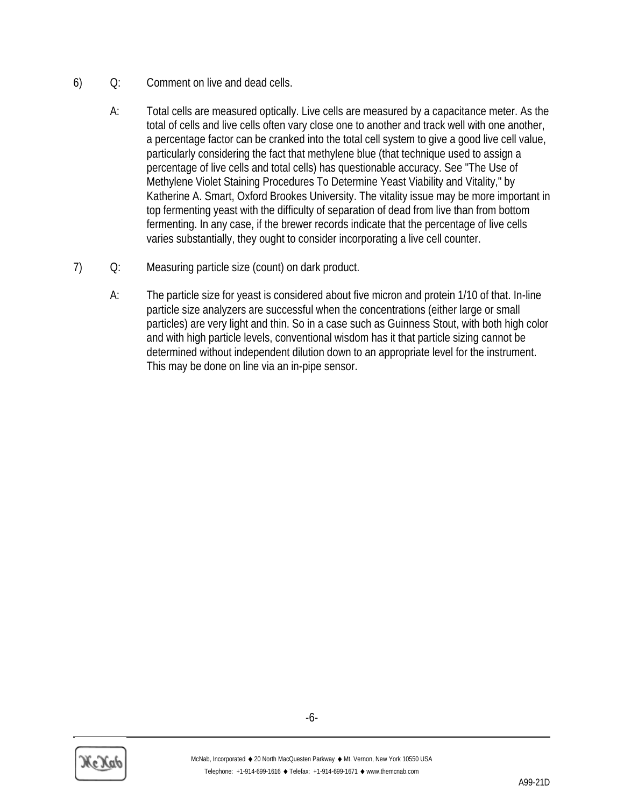- 6) Q: Comment on live and dead cells.
	- A: Total cells are measured optically. Live cells are measured by a capacitance meter. As the total of cells and live cells often vary close one to another and track well with one another, a percentage factor can be cranked into the total cell system to give a good live cell value, particularly considering the fact that methylene blue (that technique used to assign a percentage of live cells and total cells) has questionable accuracy. See "The Use of Methylene Violet Staining Procedures To Determine Yeast Viability and Vitality," by Katherine A. Smart, Oxford Brookes University. The vitality issue may be more important in top fermenting yeast with the difficulty of separation of dead from live than from bottom fermenting. In any case, if the brewer records indicate that the percentage of live cells varies substantially, they ought to consider incorporating a live cell counter.
- 7) Q: Measuring particle size (count) on dark product.
	- A: The particle size for yeast is considered about five micron and protein 1/10 of that. In-line particle size analyzers are successful when the concentrations (either large or small particles) are very light and thin. So in a case such as Guinness Stout, with both high color and with high particle levels, conventional wisdom has it that particle sizing cannot be determined without independent dilution down to an appropriate level for the instrument. This may be done on line via an in-pipe sensor.



-6-